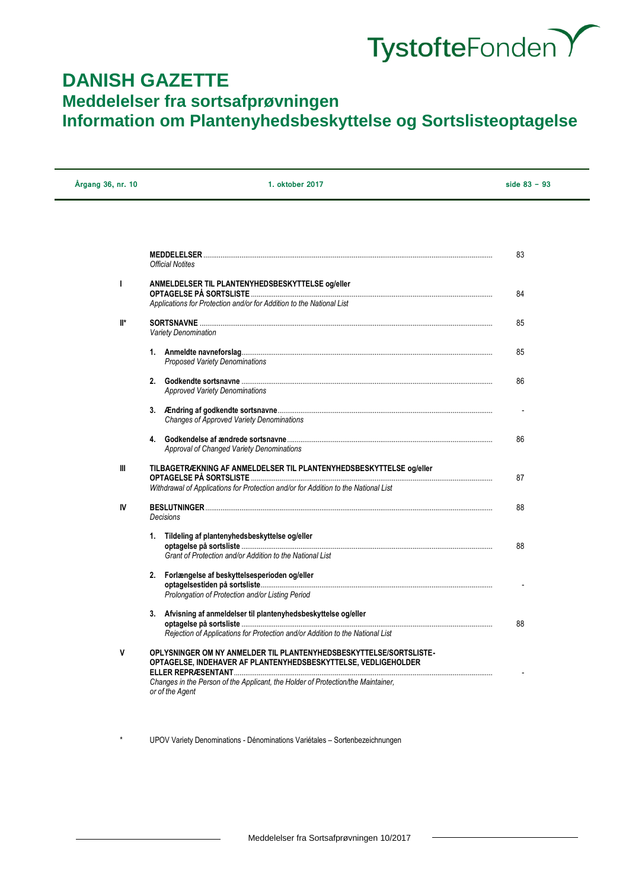

# **DANISH GAZETTE Meddelelser fra sortsafprøvningen Information om Plantenyhedsbeskyttelse og Sortslisteoptagelse**

| Årgang 36, nr. 10 | 1. oktober 2017                                                                                                                                   | side $83 - 93$ |
|-------------------|---------------------------------------------------------------------------------------------------------------------------------------------------|----------------|
|                   |                                                                                                                                                   |                |
|                   | Official Notites                                                                                                                                  | 83             |
| L                 | ANMELDELSER TIL PLANTENYHEDSBESKYTTELSE og/eller<br>Applications for Protection and/or for Addition to the National List                          | 84             |
| ll*               | <b>Variety Denomination</b>                                                                                                                       | 85             |
|                   | Proposed Variety Denominations                                                                                                                    | 85             |
|                   | <b>Approved Variety Denominations</b>                                                                                                             | 86             |
|                   | <b>Changes of Approved Variety Denominations</b>                                                                                                  |                |
|                   | 4.<br>Approval of Changed Variety Denominations                                                                                                   | 86             |
| Ш                 | TILBAGETRÆKNING AF ANMELDELSER TIL PLANTENYHEDSBESKYTTELSE og/eller                                                                               | 87             |
|                   | Withdrawal of Applications for Protection and/or for Addition to the National List                                                                |                |
| IV                | Decisions                                                                                                                                         | 88             |
|                   | Tildeling af plantenyhedsbeskyttelse og/eller<br>1.<br>Grant of Protection and/or Addition to the National List                                   | 88             |
|                   | 2. Forlængelse af beskyttelsesperioden og/eller<br>Prolongation of Protection and/or Listing Period                                               |                |
|                   | 3. Afvisning af anmeldelser til plantenyhedsbeskyttelse og/eller<br>Rejection of Applications for Protection and/or Addition to the National List | 88             |
| ۷                 | OPLYSNINGER OM NY ANMELDER TIL PLANTENYHEDSBESKYTTELSE/SORTSLISTE-<br>OPTAGELSE. INDEHAVER AF PLANTENYHEDSBESKYTTELSE. VEDLIGEHOLDER              |                |
|                   | Changes in the Person of the Applicant, the Holder of Protection/the Maintainer,<br>or of the Agent                                               |                |

UPOV Variety Denominations - Dénominations Variétales – Sortenbezeichnungen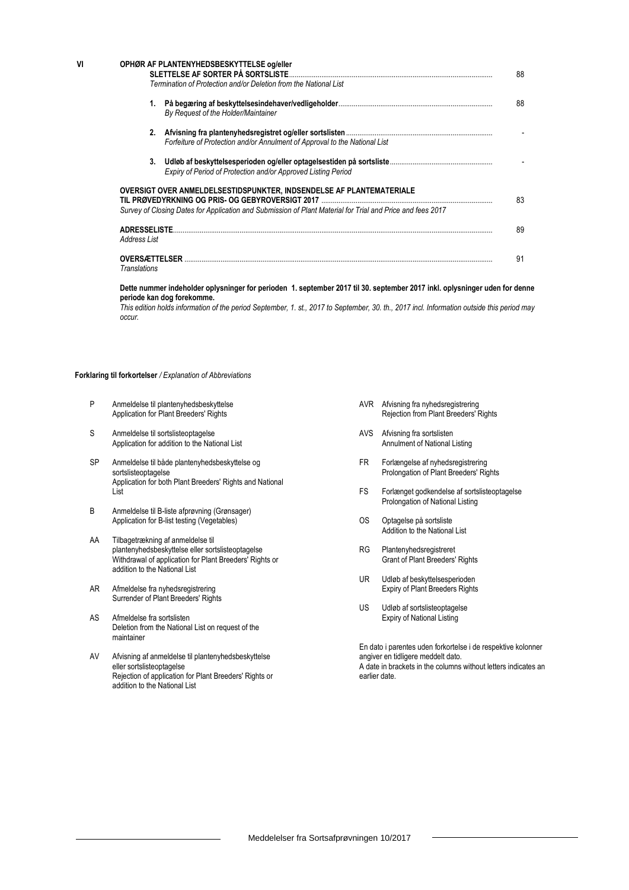| VI | OPHØR AF PLANTENYHEDSBESKYTTELSE og/eller<br>SLETTELSE AF SORTER PÅ SORTSLISTE                             | 88  |
|----|------------------------------------------------------------------------------------------------------------|-----|
|    | Termination of Protection and/or Deletion from the National List                                           |     |
|    | 1.<br>By Request of the Holder/Maintainer                                                                  | 88  |
|    | 2.<br>Forfeiture of Protection and/or Annulment of Approval to the National List                           |     |
|    | 3.<br>Expiry of Period of Protection and/or Approved Listing Period                                        |     |
|    | OVERSIGT OVER ANMELDELSESTIDSPUNKTER, INDSENDELSE AF PLANTEMATERIALE                                       | 83  |
|    | Survey of Closing Dates for Application and Submission of Plant Material for Trial and Price and fees 2017 |     |
|    | <b>ADRESSELISTE</b><br>Address List                                                                        | 89  |
|    | <b>OVERSÆTTELSER</b><br><b>Translations</b>                                                                | .91 |

**Dette nummer indeholder oplysninger for perioden 1. september 2017 til 30. september 2017 inkl. oplysninger uden for denne periode kan dog forekomme.**

*This edition holds information of the period September, 1. st., 2017 to September, 30. th., 2017 incl. Information outside this period may occur.*

#### **Forklaring til forkortelser** */ Explanation of Abbreviations*

- P Anmeldelse til plantenyhedsbeskyttelse Application for Plant Breeders' Rights
- S Anmeldelse til sortslisteoptagelse Application for addition to the National List
- SP Anmeldelse til både plantenyhedsbeskyttelse og sortslisteoptagelse Application for both Plant Breeders' Rights and National List
- B Anmeldelse til B-liste afprøvning (Grønsager) Application for B-list testing (Vegetables)
- AA Tilbagetrækning af anmeldelse til plantenyhedsbeskyttelse eller sortslisteoptagelse Withdrawal of application for Plant Breeders' Rights or addition to the National List
- AR Afmeldelse fra nyhedsregistrering Surrender of Plant Breeders' Rights
- AS Afmeldelse fra sortslisten Deletion from the National List on request of the maintainer
- AV Afvisning af anmeldelse til plantenyhedsbeskyttelse eller sortslisteoptagelse Rejection of application for Plant Breeders' Rights or addition to the National List
- AVR Afvisning fra nyhedsregistrering Rejection from Plant Breeders' Rights
- AVS Afvisning fra sortslisten Annulment of National Listing
- FR Forlængelse af nyhedsregistrering Prolongation of Plant Breeders' Rights
- FS Forlænget godkendelse af sortslisteoptagelse Prolongation of National Listing
- OS Optagelse på sortsliste Addition to the National List
- RG Plantenyhedsregistreret Grant of Plant Breeders' Rights
- UR Udløb af beskyttelsesperioden Expiry of Plant Breeders Rights
- US Udløb af sortslisteoptagelse Expiry of National Listing

En dato i parentes uden forkortelse i de respektive kolonner angiver en tidligere meddelt dato. A date in brackets in the columns without letters indicates an earlier date.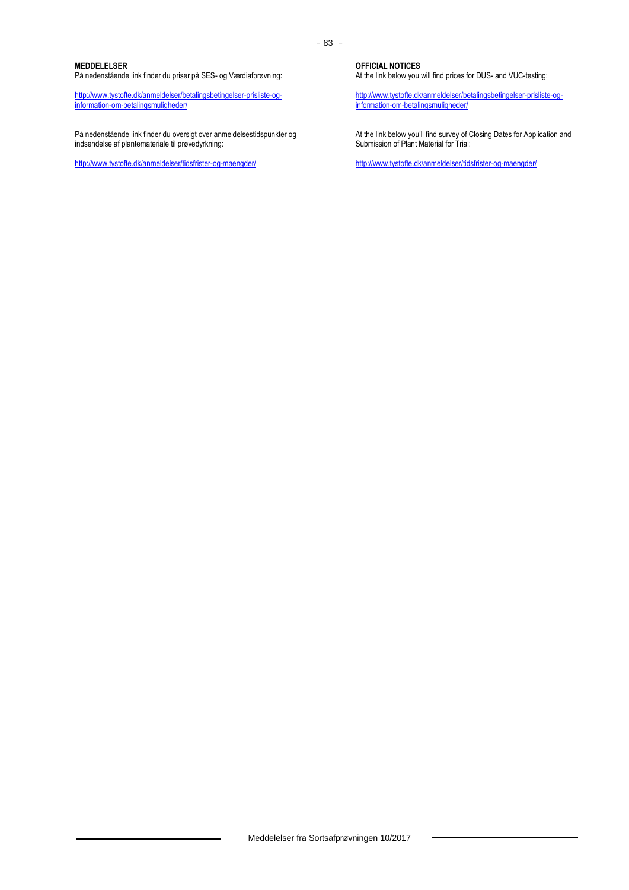### **MEDDELELSER**

På nedenstående link finder du priser på SES- og Værdiafprøvning:

[http://www.tystofte.dk/anmeldelser/betalingsbetingelser-prisliste-og](http://www.tystofte.dk/anmeldelser/betalingsbetingelser-prisliste-og-information-om-betalingsmuligheder/)[information-om-betalingsmuligheder/](http://www.tystofte.dk/anmeldelser/betalingsbetingelser-prisliste-og-information-om-betalingsmuligheder/)

På nedenstående link finder du oversigt over anmeldelsestidspunkter og indsendelse af plantemateriale til prøvedyrkning:

<http://www.tystofte.dk/anmeldelser/tidsfrister-og-maengder/>

**OFFICIAL NOTICES**

At the link below you will find prices for DUS- and VUC-testing:

[http://www.tystofte.dk/anmeldelser/betalingsbetingelser-prisliste-og](http://www.tystofte.dk/anmeldelser/betalingsbetingelser-prisliste-og-information-om-betalingsmuligheder/)[information-om-betalingsmuligheder/](http://www.tystofte.dk/anmeldelser/betalingsbetingelser-prisliste-og-information-om-betalingsmuligheder/)

At the link below you'll find survey of Closing Dates for Application and Submission of Plant Material for Trial:

<http://www.tystofte.dk/anmeldelser/tidsfrister-og-maengder/>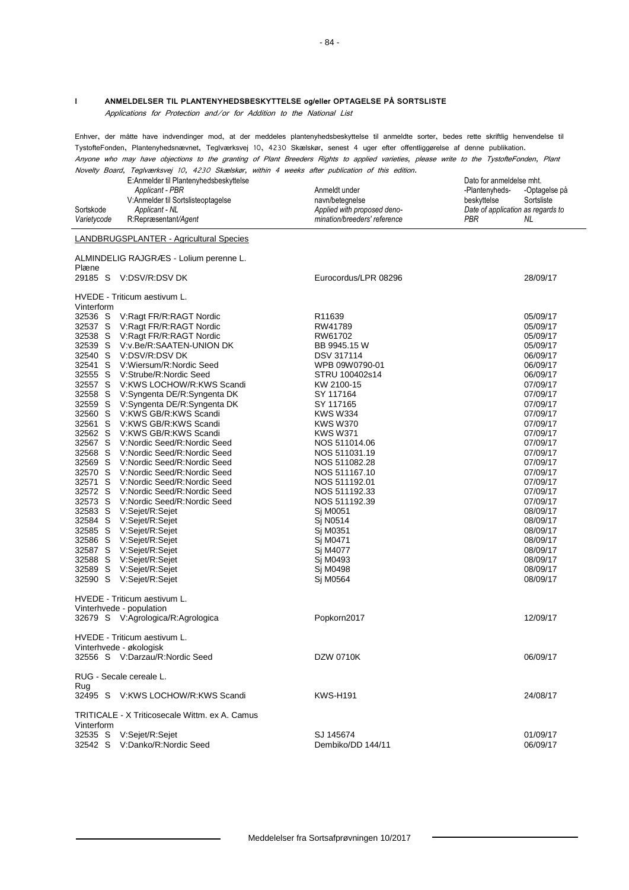#### **I ANMELDELSER TIL PLANTENYHEDSBESKYTTELSE og/eller OPTAGELSE PÅ SORTSLISTE**

Applications for Protection and/or for Addition to the National List

Enhver, der måtte have indvendinger mod, at der meddeles plantenyhedsbeskyttelse til anmeldte sorter, bedes rette skriftlig henvendelse til TystofteFonden, Plantenyhedsnævnet, Teglværksvej 10, 4230 Skælskør, senest 4 uger efter offentliggørelse af denne publikation. Anyone who may have objections to the granting of Plant Breeders Rights to applied varieties, please write to the TystofteFonden, Plant

Novelty Board, Teglværksvej 10, 4230 Skælskør, within 4 weeks after publication of this edition. E:Anmelder til Plantenyhedsbeskyttelse Dato for anmeldelse mht.

|             | E. AIIIIIEIUEI III FIAIIIEII VIIEUSDESKYIIEISE |                              | Dalu iui aliilielueise Illiil.    |               |
|-------------|------------------------------------------------|------------------------------|-----------------------------------|---------------|
|             | Applicant - PBR                                | Anmeldt under                | -Plantenvheds-                    | -Optagelse på |
|             | V:Anmelder til Sortslisteoptagelse             | navn/betegnelse              | beskyttelse                       | Sortsliste    |
| Sortskode   | Applicant - NL                                 | Applied with proposed deno-  | Date of application as regards to |               |
| Varietycode | R:Repræsentant/Agent                           | mination/breeders' reference | PBR                               | NL            |
|             |                                                |                              |                                   |               |

#### LANDBRUGSPLANTER - Agricultural Species

ALMINDELIG RAJGRÆS - Lolium perenne L. Plæne 29185 S V:DSV/R:DSV DK Eurocordus/LPR 08296 28/09/17 HVEDE - Triticum aestivum L. Vinterform<br>32536 S 32536 S V:Ragt FR/R:RAGT Nordic R11639 05/09/17 32537 S V:Ragt FR/R:RAGT Nordic RW41789 05/09/17 32538 S V:Ragt FR/R:RAGT Nordic RW61702 05/09/17 32539 S V:v.Be/R:SAATEN-UNION DK BB 9945.15 W 05/09/17 32540 S V:DSV/R:DSV DK DSV 317114 06/09/17<br>32541 S V:Wiersum/R:Nordic Seed WPB 09W0790-01 06/09/17 32541 S V:Wiersum/R:Nordic Seed WPB 09W0790-01 06/09/17<br>32555 S V:Strube/R:Nordic Seed STRU 100402s14 06/09/17 32555 S V:Strube/R:Nordic Seed<br>32557 S V:KWS LOCHOW/R:KW 32557 S V:KWS LOCHOW/R:KWS Scandi KW 2100-15 07/09/17 32558 S V:Syngenta DE/R:Syngenta DK SY 117164<br>32559 S V:Syngenta DE/R:Syngenta DK SY 117165 SY 117165 07/09/17 V:Syngenta DE/R:Syngenta DK SY 117165 32560 S V:KWS GB/R:KWS Scandi KWS W334 07/09/17 32561 S V:KWS GB/R:KWS Scandi KWS W370 07/09/17 32562 S V:KWS GB/R:KWS Scandi<br>32567 S V:Nordic Seed/R:Nordic Se 32567 S V:Nordic Seed/R:Nordic Seed NOS 511014.06 07/09/17 32568 S V:Nordic Seed/R:Nordic Seed<br>32569 S V:Nordic Seed/R:Nordic Seed NOS 511082.28 NOS 511082.28 07/09/17 32569 S V:Nordic Seed/R:Nordic Seed<br>32570 S V:Nordic Seed/R:Nordic Seed NOS 511167.10 32570 S V:Nordic Seed/R:Nordic Seed<br>32570 S V:Nordic Seed/R:Nordic Seed<br>32571 S V:Nordic Seed/R:Nordic Seed NOS 511192.01 32571 S V:Nordic Seed/R:Nordic Seed<br>32572 S V:Nordic Seed/R:Nordic Seed NOS 511192.33<br>07/09/17 07/09/17 32572 S V:Nordic Seed/R:Nordic Seed<br>32573 S V:Nordic Seed/R:Nordic Seed NOS 511192.39 07/09/17 32573 S V:Nordic Seed/R:Nordic Seed<br>32583 S V:Sejet/R:Sejet<br>32583 S V:Sejet/R:Sejet 3258 V:Sejet/R:Sejet Sj M0051<br>1 V:Sejet/R:Sejet Sj N0514 32584 S V:Sejet/R:Sejet Sj N0514 08/09/17 32585 S V:Sejet/R:Sejet Sj M0351 08/09/17 32586 S V:Sejet/R:Sejet Sj M0471 08/09/17 V:Sejet/R:Sejet 32588 S V:Sejet/R:Sejet Sj M0493 08/09/17 32589 S V:Sejet/R:Sejet Sj M0498 08/09/17 32590 S V:Sejet/R:Sejet Sj M0564 HVEDE - Triticum aestivum L. Vinterhvede - population 32679 S V:Agrologica/R:Agrologica **Popkorn2017** Popkorn2017 12/09/17 HVEDE - Triticum aestivum L. Vinterhvede - økologisk 32556 S V:Darzau/R:Nordic Seed DZW 0710K 06/09/17 RUG - Secale cereale L. Rug 32495 S V:KWS LOCHOW/R:KWS Scandi KWS-H191 24/08/17 TRITICALE - X Triticosecale Wittm. ex A. Camus Vinterform 32535 S V:Sejet/R:Sejet SJ 145674 01/09/17 32542 S V:Danko/R:Nordic Seed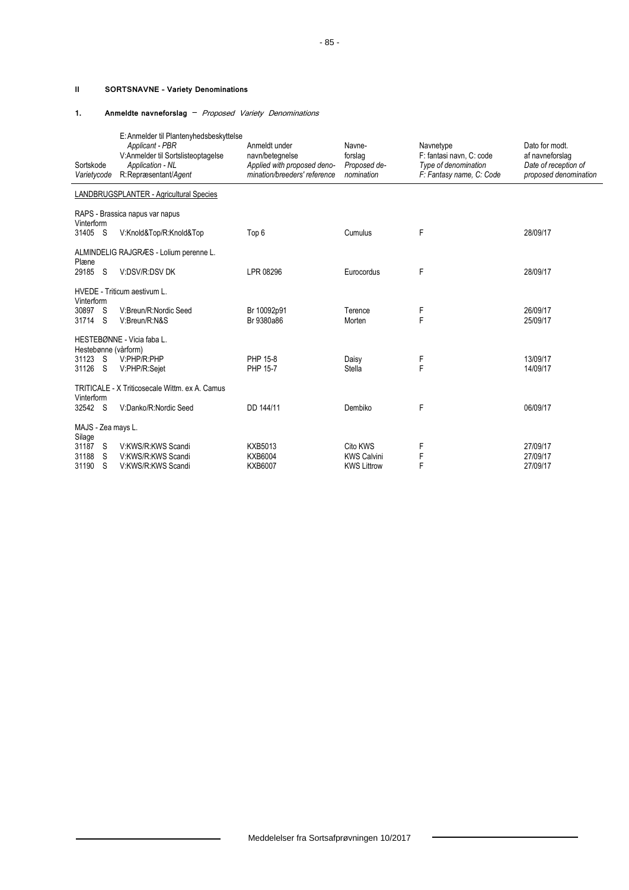### **II SORTSNAVNE – Variety Denominations**

#### **1. Anmeldte navneforslag** – Proposed Variety Denominations

| Sortskode<br>Varietycode                             | E: Anmelder til Plantenyhedsbeskyttelse<br>Applicant - PBR<br>V:Anmelder til Sortslisteoptagelse<br>Application - NL<br>R:Repræsentant/Agent | Anmeldt under<br>navn/betegnelse<br>Applied with proposed deno-<br>mination/breeders' reference | Navne-<br>forslag<br>Proposed de-<br>nomination      | Navnetype<br>F: fantasi navn, C: code<br>Type of denomination<br>F: Fantasy name, C: Code | Dato for modt.<br>af navneforslag<br>Date of reception of<br>proposed denomination |  |
|------------------------------------------------------|----------------------------------------------------------------------------------------------------------------------------------------------|-------------------------------------------------------------------------------------------------|------------------------------------------------------|-------------------------------------------------------------------------------------------|------------------------------------------------------------------------------------|--|
|                                                      | LANDBRUGSPLANTER - Agricultural Species                                                                                                      |                                                                                                 |                                                      |                                                                                           |                                                                                    |  |
|                                                      | RAPS - Brassica napus var napus                                                                                                              |                                                                                                 |                                                      |                                                                                           |                                                                                    |  |
| Vinterform<br>31405 S                                | V:Knold&Top/R:Knold&Top                                                                                                                      | Top 6                                                                                           | Cumulus                                              | F                                                                                         | 28/09/17                                                                           |  |
|                                                      | ALMINDELIG RAJGRÆS - Lolium perenne L.                                                                                                       |                                                                                                 |                                                      |                                                                                           |                                                                                    |  |
| Plæne<br>29185<br>- S                                | V:DSV/R:DSV DK                                                                                                                               | LPR 08296                                                                                       | Eurocordus                                           | F                                                                                         | 28/09/17                                                                           |  |
|                                                      | HVEDE - Triticum aestivum L.                                                                                                                 |                                                                                                 |                                                      |                                                                                           |                                                                                    |  |
| Vinterform<br>30897 S<br>31714 S                     | V:Breun/R:Nordic Seed<br>V:Breun/R:N&S                                                                                                       | Br 10092p91<br>Br 9380a86                                                                       | Terence<br>Morten                                    | F<br>F                                                                                    | 26/09/17<br>25/09/17                                                               |  |
|                                                      | HESTEBØNNE - Vicia faba L.                                                                                                                   |                                                                                                 |                                                      |                                                                                           |                                                                                    |  |
| Hestebønne (vårform)<br>31123<br>- S<br>31126<br>- S | V:PHP/R:PHP<br>V:PHP/R:Sejet                                                                                                                 | PHP 15-8<br>PHP 15-7                                                                            | Daisy<br><b>Stella</b>                               | F<br>F                                                                                    | 13/09/17<br>14/09/17                                                               |  |
| TRITICALE - X Triticosecale Wittm. ex A. Camus       |                                                                                                                                              |                                                                                                 |                                                      |                                                                                           |                                                                                    |  |
| Vinterform<br>32542 S                                | V:Danko/R:Nordic Seed                                                                                                                        | DD 144/11                                                                                       | Dembiko                                              | F                                                                                         | 06/09/17                                                                           |  |
| MAJS - Zea mays L.                                   |                                                                                                                                              |                                                                                                 |                                                      |                                                                                           |                                                                                    |  |
| Silage<br>31187 S<br>31188<br>S<br>31190<br>S        | V:KWS/R:KWS Scandi<br>V:KWS/R:KWS Scandi<br>V:KWS/R:KWS Scandi                                                                               | <b>KXB5013</b><br><b>KXB6004</b><br><b>KXB6007</b>                                              | Cito KWS<br><b>KWS Calvini</b><br><b>KWS Littrow</b> | F<br>F<br>F                                                                               | 27/09/17<br>27/09/17<br>27/09/17                                                   |  |

 $\qquad \qquad$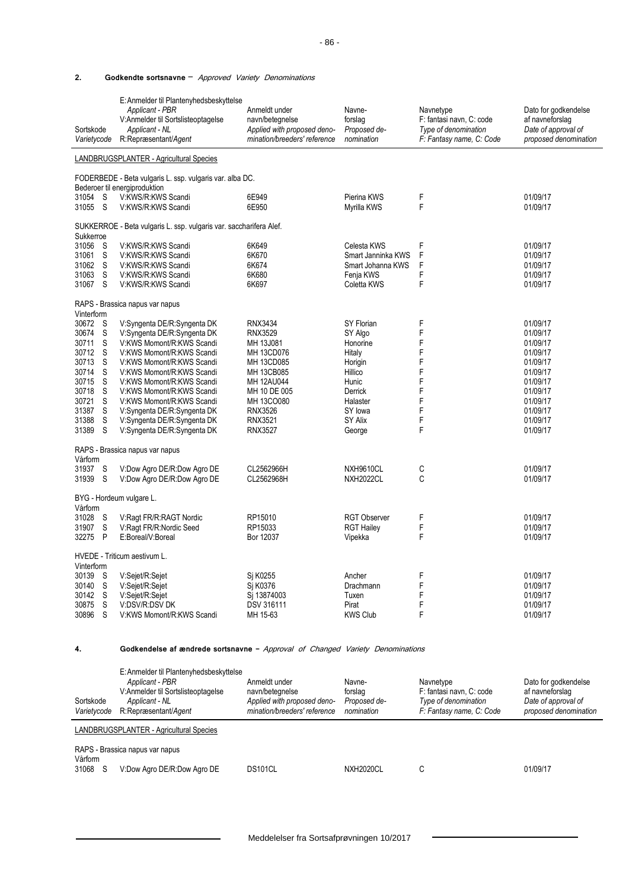## **2. Godkendte sortsnavne** – Approved Variety Denominations

| Sortskode<br>Varietycode                                                                                                                                                                                    | E: Anmelder til Plantenyhedsbeskyttelse<br>Applicant - PBR<br>V:Anmelder til Sortslisteoptagelse<br>Applicant - NL<br>R:Repræsentant/Agent                                                                                                                                                                                                                                                                                                                          | Anmeldt under<br>navn/betegnelse<br>Applied with proposed deno-<br>mination/breeders' reference                                                                                                                | Navne-<br>forslag<br>Proposed de-<br>nomination                                                                                                                    | Navnetype<br>F: fantasi navn, C: code<br>Type of denomination<br>F: Fantasy name, C: Code | Dato for godkendelse<br>af navneforslag<br>Date of approval of<br>proposed denomination                                                                              |
|-------------------------------------------------------------------------------------------------------------------------------------------------------------------------------------------------------------|---------------------------------------------------------------------------------------------------------------------------------------------------------------------------------------------------------------------------------------------------------------------------------------------------------------------------------------------------------------------------------------------------------------------------------------------------------------------|----------------------------------------------------------------------------------------------------------------------------------------------------------------------------------------------------------------|--------------------------------------------------------------------------------------------------------------------------------------------------------------------|-------------------------------------------------------------------------------------------|----------------------------------------------------------------------------------------------------------------------------------------------------------------------|
|                                                                                                                                                                                                             | LANDBRUGSPLANTER - Agricultural Species                                                                                                                                                                                                                                                                                                                                                                                                                             |                                                                                                                                                                                                                |                                                                                                                                                                    |                                                                                           |                                                                                                                                                                      |
|                                                                                                                                                                                                             | FODERBEDE - Beta vulgaris L. ssp. vulgaris var. alba DC.<br>Bederoer til energiproduktion                                                                                                                                                                                                                                                                                                                                                                           |                                                                                                                                                                                                                |                                                                                                                                                                    |                                                                                           |                                                                                                                                                                      |
| S<br>31054<br>31055<br>S                                                                                                                                                                                    | V:KWS/R:KWS Scandi<br>V KWS/R:KWS Scandi                                                                                                                                                                                                                                                                                                                                                                                                                            | 6E949<br>6E950                                                                                                                                                                                                 | Pierina KWS<br>Myrilla KWS                                                                                                                                         | F<br>F                                                                                    | 01/09/17<br>01/09/17                                                                                                                                                 |
| Sukkerroe                                                                                                                                                                                                   | SUKKERROE - Beta vulgaris L. ssp. vulgaris var. saccharifera Alef.                                                                                                                                                                                                                                                                                                                                                                                                  |                                                                                                                                                                                                                |                                                                                                                                                                    |                                                                                           |                                                                                                                                                                      |
| 31056<br>S<br>S<br>31061<br>S<br>31062<br>31063<br>S<br>S<br>31067                                                                                                                                          | V KWS/R:KWS Scandi<br>V:KWS/R:KWS Scandi<br>V KWS/R:KWS Scandi<br>V:KWS/R:KWS Scandi<br>V KWS/R:KWS Scandi                                                                                                                                                                                                                                                                                                                                                          | 6K649<br>6K670<br>6K674<br>6K680<br>6K697                                                                                                                                                                      | Celesta KWS<br>Smart Janninka KWS<br>Smart Johanna KWS<br>Fenja KWS<br>Coletta KWS                                                                                 | F<br>F<br>F<br>F<br>F                                                                     | 01/09/17<br>01/09/17<br>01/09/17<br>01/09/17<br>01/09/17                                                                                                             |
| Vinterform                                                                                                                                                                                                  | RAPS - Brassica napus var napus                                                                                                                                                                                                                                                                                                                                                                                                                                     |                                                                                                                                                                                                                |                                                                                                                                                                    |                                                                                           |                                                                                                                                                                      |
| 30672<br>S<br>S<br>30674<br>S<br>30711<br>30712<br>S<br>30713<br>S<br>S<br>30714<br>30715<br>S<br>30718<br>S<br>30721<br>S<br>S<br>31387<br>S<br>31388<br>31389<br>S<br>Vårform<br>S<br>31937<br>S<br>31939 | V:Syngenta DE/R:Syngenta DK<br>V:Syngenta DE/R:Syngenta DK<br>V:KWS Momont/R:KWS Scandi<br>V:KWS Momont/R:KWS Scandi<br>V:KWS Momont/R:KWS Scandi<br>V:KWS Momont/R:KWS Scandi<br>V:KWS Momont/R:KWS Scandi<br>V:KWS Momont/R:KWS Scandi<br>V:KWS Momont/R:KWS Scandi<br>V:Syngenta DE/R:Syngenta DK<br>V:Syngenta DE/R:Syngenta DK<br>V:Syngenta DE/R:Syngenta DK<br>RAPS - Brassica napus var napus<br>V:Dow Agro DE/R:Dow Agro DE<br>V:Dow Agro DE/R:Dow Agro DE | <b>RNX3434</b><br><b>RNX3529</b><br>MH 13J081<br>MH 13CD076<br>MH 13CD085<br>MH 13CB085<br>MH 12AU044<br>MH 10 DE 005<br>MH 13CO080<br><b>RNX3526</b><br>RNX3521<br><b>RNX3527</b><br>CL2562966H<br>CL2562968H | SY Florian<br>SY Algo<br>Honorine<br>Hitaly<br>Horigin<br>Hillico<br>Hunic<br>Derrick<br>Halaster<br>SY lowa<br>SY Alix<br>George<br>NXH9610CL<br><b>NXH2022CL</b> | F<br>F<br>F<br>F<br>F<br>F<br>F<br>F<br>F<br>F<br>F<br>F<br>C<br>C                        | 01/09/17<br>01/09/17<br>01/09/17<br>01/09/17<br>01/09/17<br>01/09/17<br>01/09/17<br>01/09/17<br>01/09/17<br>01/09/17<br>01/09/17<br>01/09/17<br>01/09/17<br>01/09/17 |
| Vårform                                                                                                                                                                                                     | BYG - Hordeum vulgare L.                                                                                                                                                                                                                                                                                                                                                                                                                                            |                                                                                                                                                                                                                |                                                                                                                                                                    |                                                                                           |                                                                                                                                                                      |
| S<br>31028<br>S<br>31907<br>P<br>32275                                                                                                                                                                      | V:Ragt FR/R:RAGT Nordic<br>V:Ragt FR/R:Nordic Seed<br>E:Boreal/V:Boreal                                                                                                                                                                                                                                                                                                                                                                                             | RP15010<br>RP15033<br>Bor 12037                                                                                                                                                                                | <b>RGT Observer</b><br><b>RGT Hailey</b><br>Vipekka                                                                                                                | F<br>F<br>F                                                                               | 01/09/17<br>01/09/17<br>01/09/17                                                                                                                                     |
| Vinterform                                                                                                                                                                                                  | HVEDE - Triticum aestivum L.                                                                                                                                                                                                                                                                                                                                                                                                                                        |                                                                                                                                                                                                                |                                                                                                                                                                    |                                                                                           |                                                                                                                                                                      |
| 30139<br>S<br>S<br>30140<br>30142<br>S<br>S<br>30875<br>30896<br>S                                                                                                                                          | V:Sejet/R:Sejet<br>V:Sejet/R:Sejet<br>V:Sejet/R:Sejet<br>V:DSV/R:DSV DK<br>V:KWS Momont/R:KWS Scandi                                                                                                                                                                                                                                                                                                                                                                | Sj K0255<br>Si K0376<br>Sj 13874003<br><b>DSV 316111</b><br>MH 15-63                                                                                                                                           | Ancher<br>Drachmann<br>Tuxen<br>Pirat<br><b>KWS Club</b>                                                                                                           | F<br>F<br>F<br>F<br>F                                                                     | 01/09/17<br>01/09/17<br>01/09/17<br>01/09/17<br>01/09/17                                                                                                             |

#### **4. Godkendelse af ændrede sortsnavne -** Approval of Changed Variety Denominations

| Sortskode<br>Varietycode | E: Anmelder til Plantenyhedsbeskyttelse<br>Applicant - PBR<br>V:Anmelder til Sortslisteoptagelse<br>Applicant - NL<br>R:Repræsentant/Agent | Anmeldt under<br>navn/betegnelse<br>Applied with proposed deno-<br>mination/breeders' reference | Navne-<br>forslag<br>Proposed de-<br>nomination | Navnetype<br>F: fantasi navn, C: code<br>Type of denomination<br>F: Fantasy name, C: Code | Dato for godkendelse<br>af navneforslag<br>Date of approval of<br>proposed denomination |
|--------------------------|--------------------------------------------------------------------------------------------------------------------------------------------|-------------------------------------------------------------------------------------------------|-------------------------------------------------|-------------------------------------------------------------------------------------------|-----------------------------------------------------------------------------------------|
|                          | LANDBRUGSPLANTER - Agricultural Species                                                                                                    |                                                                                                 |                                                 |                                                                                           |                                                                                         |
| Vårform                  | RAPS - Brassica napus var napus                                                                                                            |                                                                                                 |                                                 |                                                                                           |                                                                                         |
| 31068<br>-S              | V:Dow Agro DE/R:Dow Agro DE                                                                                                                | DS101CL                                                                                         | <b>NXH2020CL</b>                                | С                                                                                         | 01/09/17                                                                                |

 $\qquad \qquad$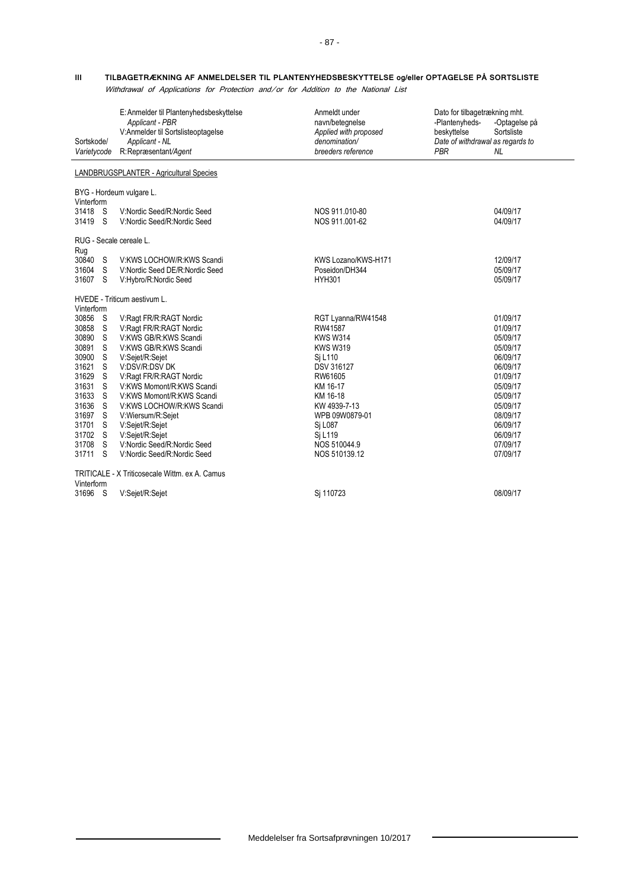## **III TILBAGETRÆKNING AF ANMELDELSER TIL PLANTENYHEDSBESKYTTELSE og/eller OPTAGELSE PÅ SORTSLISTE**

Withdrawal of Applications for Protection and/or for Addition to the National List

| Sortskode/<br>Varietycode                                                                                                                 |                                                                      | E: Anmelder til Plantenyhedsbeskyttelse<br>Applicant - PBR<br>V:Anmelder til Sortslisteoptagelse<br>Applicant - NL<br>R:Repræsentant/Agent                                                                                                                                                                                                                                           | Anmeldt under<br>navn/betegnelse<br>Applied with proposed<br>denomination/<br>breeders reference                                                                                                                         | Dato for tilbagetrækning mht.<br>-Plantenyheds-<br>beskyttelse<br>Date of withdrawal as regards to<br><b>PBR</b> | -Optagelse på<br>Sortsliste<br>NL.                                                                                                                                               |
|-------------------------------------------------------------------------------------------------------------------------------------------|----------------------------------------------------------------------|--------------------------------------------------------------------------------------------------------------------------------------------------------------------------------------------------------------------------------------------------------------------------------------------------------------------------------------------------------------------------------------|--------------------------------------------------------------------------------------------------------------------------------------------------------------------------------------------------------------------------|------------------------------------------------------------------------------------------------------------------|----------------------------------------------------------------------------------------------------------------------------------------------------------------------------------|
|                                                                                                                                           |                                                                      | LANDBRUGSPLANTER - Agricultural Species                                                                                                                                                                                                                                                                                                                                              |                                                                                                                                                                                                                          |                                                                                                                  |                                                                                                                                                                                  |
| Vinterform                                                                                                                                |                                                                      | BYG - Hordeum vulgare L.                                                                                                                                                                                                                                                                                                                                                             |                                                                                                                                                                                                                          |                                                                                                                  |                                                                                                                                                                                  |
| 31418 S<br>31419 S                                                                                                                        |                                                                      | V:Nordic Seed/R:Nordic Seed<br>V:Nordic Seed/R:Nordic Seed                                                                                                                                                                                                                                                                                                                           | NOS 911.010-80<br>NOS 911.001-62                                                                                                                                                                                         |                                                                                                                  | 04/09/17<br>04/09/17                                                                                                                                                             |
|                                                                                                                                           |                                                                      | RUG - Secale cereale L.                                                                                                                                                                                                                                                                                                                                                              |                                                                                                                                                                                                                          |                                                                                                                  |                                                                                                                                                                                  |
| Rug<br>30840 S<br>31604 S<br>31607 S                                                                                                      |                                                                      | V:KWS LOCHOW/R:KWS Scandi<br>V:Nordic Seed DE/R:Nordic Seed<br>V:Hybro/R:Nordic Seed                                                                                                                                                                                                                                                                                                 | KWS Lozano/KWS-H171<br>Poseidon/DH344<br><b>HYH301</b>                                                                                                                                                                   |                                                                                                                  | 12/09/17<br>05/09/17<br>05/09/17                                                                                                                                                 |
| Vinterform                                                                                                                                |                                                                      | HVEDE - Triticum aestivum L.                                                                                                                                                                                                                                                                                                                                                         |                                                                                                                                                                                                                          |                                                                                                                  |                                                                                                                                                                                  |
| 30856 S<br>30858<br>30890<br>30891<br>30900<br>31621<br>31629<br>31631<br>31633<br>31636<br>31697<br>31701<br>31702 S<br>31708<br>31711 S | - S<br>S.<br>- S<br>S.<br>S.<br>-S<br>S<br>S<br>S.<br>S.<br>S.<br>-S | V:Ragt FR/R:RAGT Nordic<br>V:Ragt FR/R:RAGT Nordic<br>V:KWS GB/R:KWS Scandi<br>V:KWS GB/R:KWS Scandi<br>V:Sejet/R:Sejet<br>V:DSV/R:DSV DK<br>V:Ragt FR/R:RAGT Nordic<br>V:KWS Momont/R:KWS Scandi<br>V:KWS Momont/R:KWS Scandi<br>V:KWS LOCHOW/R:KWS Scandi<br>V:Wiersum/R:Sejet<br>V:Sejet/R:Sejet<br>V:Sejet/R:Sejet<br>V:Nordic Seed/R:Nordic Seed<br>V:Nordic Seed/R:Nordic Seed | RGT Lyanna/RW41548<br>RW41587<br><b>KWS W314</b><br><b>KWS W319</b><br>Sj L110<br>DSV 316127<br>RW61605<br>KM 16-17<br>KM 16-18<br>KW 4939-7-13<br>WPB 09W0879-01<br>Si L087<br>Sj L119<br>NOS 510044.9<br>NOS 510139.12 |                                                                                                                  | 01/09/17<br>01/09/17<br>05/09/17<br>05/09/17<br>06/09/17<br>06/09/17<br>01/09/17<br>05/09/17<br>05/09/17<br>05/09/17<br>08/09/17<br>06/09/17<br>06/09/17<br>07/09/17<br>07/09/17 |
| Vinterform                                                                                                                                |                                                                      | TRITICALE - X Triticosecale Wittm. ex A. Camus                                                                                                                                                                                                                                                                                                                                       |                                                                                                                                                                                                                          |                                                                                                                  |                                                                                                                                                                                  |
| 31696 S                                                                                                                                   |                                                                      | V:Sejet/R:Sejet                                                                                                                                                                                                                                                                                                                                                                      | Si 110723                                                                                                                                                                                                                |                                                                                                                  | 08/09/17                                                                                                                                                                         |

 $\overline{\phantom{0}}$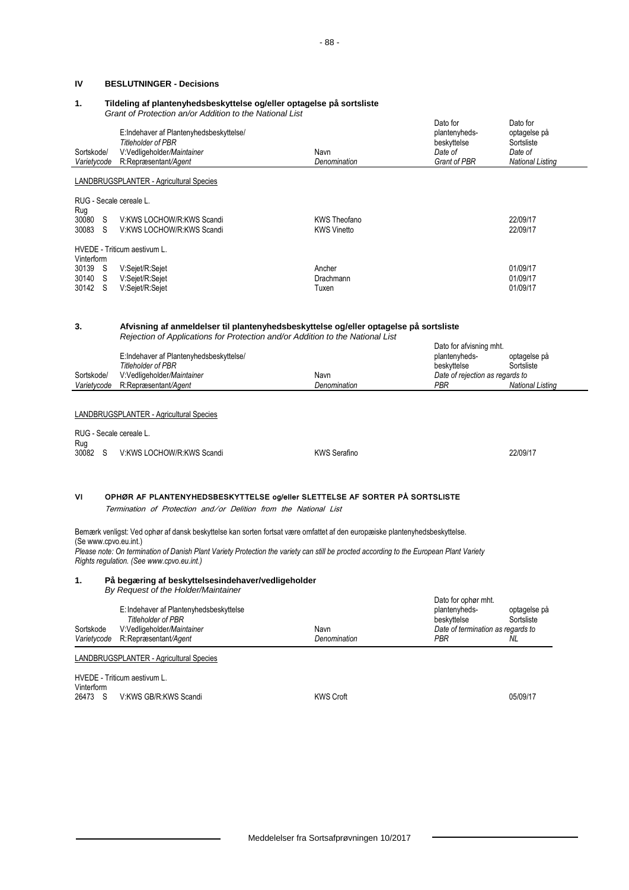## **IV BESLUTNINGER - Decisions**

### **1. Tildeling af plantenyhedsbeskyttelse og/eller optagelse på sortsliste**

*Grant of Protection an/or Addition to the National List*

| Sortskode/<br>Varietycode                                                                       | <u>Ulahi Uli Tulechun ahijul Audhuun tu the National List</u><br>E:Indehaver af Plantenyhedsbeskyttelse/<br><b>Titleholder of PBR</b><br>V:Vedligeholder/Maintainer<br>R:Repræsentant/Agent                                                                                                                                                  | Navn<br>Denomination                      | Dato for<br>plantenyheds-<br>beskyttelse<br>Date of<br>Grant of PBR                                    | Dato for<br>optagelse på<br>Sortsliste<br>Date of<br><b>National Listing</b> |  |  |
|-------------------------------------------------------------------------------------------------|----------------------------------------------------------------------------------------------------------------------------------------------------------------------------------------------------------------------------------------------------------------------------------------------------------------------------------------------|-------------------------------------------|--------------------------------------------------------------------------------------------------------|------------------------------------------------------------------------------|--|--|
|                                                                                                 | <b>LANDBRUGSPLANTER - Agricultural Species</b>                                                                                                                                                                                                                                                                                               |                                           |                                                                                                        |                                                                              |  |  |
| RUG - Secale cereale L.                                                                         |                                                                                                                                                                                                                                                                                                                                              |                                           |                                                                                                        |                                                                              |  |  |
| Rug<br>30080 S<br>30083 S                                                                       | V KWS LOCHOW/R KWS Scandi<br>V:KWS LOCHOW/R:KWS Scandi                                                                                                                                                                                                                                                                                       | <b>KWS Theofano</b><br><b>KWS Vinetto</b> |                                                                                                        | 22/09/17<br>22/09/17                                                         |  |  |
| Vinterform                                                                                      | HVEDE - Triticum aestivum L.                                                                                                                                                                                                                                                                                                                 |                                           |                                                                                                        |                                                                              |  |  |
| 30139 S<br>30140 S<br>30142 S                                                                   | V:Sejet/R:Sejet<br>V:Sejet/R:Sejet<br>V:Sejet/R:Sejet                                                                                                                                                                                                                                                                                        | Ancher<br>Drachmann<br>Tuxen              |                                                                                                        | 01/09/17<br>01/09/17<br>01/09/17                                             |  |  |
| 3.                                                                                              | Afvisning af anmeldelser til plantenyhedsbeskyttelse og/eller optagelse på sortsliste<br>Rejection of Applications for Protection and/or Addition to the National List                                                                                                                                                                       |                                           | Dato for afvisning mht.                                                                                |                                                                              |  |  |
| Sortskode/<br>Varietycode                                                                       | E:Indehaver af Plantenyhedsbeskyttelse/<br><b>Titleholder of PBR</b><br>V:Vedligeholder/Maintainer<br>R:Repræsentant/Agent                                                                                                                                                                                                                   | Navn<br>Denomination                      | plantenyheds-<br>beskyttelse<br>Date of rejection as regards to<br><b>PBR</b>                          | optagelse på<br>Sortsliste<br><b>National Listing</b>                        |  |  |
| RUG - Secale cereale L.<br>Rug<br>30082 S                                                       | LANDBRUGSPLANTER - Agricultural Species<br>V KWS LOCHOW/R KWS Scandi                                                                                                                                                                                                                                                                         | <b>KWS Serafino</b>                       |                                                                                                        | 22/09/17                                                                     |  |  |
| VI                                                                                              | OPHØR AF PLANTENYHEDSBESKYTTELSE og/eller SLETTELSE AF SORTER PÅ SORTSLISTE<br>Termination of Protection and/or Delition from the National List                                                                                                                                                                                              |                                           |                                                                                                        |                                                                              |  |  |
|                                                                                                 | Bemærk venligst: Ved ophør af dansk beskyttelse kan sorten fortsat være omfattet af den europæiske plantenyhedsbeskyttelse.<br>(Se www.cpvo.eu.int.)<br>Please note: On termination of Danish Plant Variety Protection the variety can still be procted according to the European Plant Variety<br>Rights regulation. (See www.cpvo.eu.int.) |                                           |                                                                                                        |                                                                              |  |  |
| På begæring af beskyttelsesindehaver/vedligeholder<br>1.<br>By Request of the Holder/Maintainer |                                                                                                                                                                                                                                                                                                                                              |                                           |                                                                                                        |                                                                              |  |  |
| Sortskode<br>Varietycode                                                                        | E: Indehaver af Plantenyhedsbeskyttelse<br><b>Titleholder of PBR</b><br>V:Vedligeholder/Maintainer<br>R:Repræsentant/Agent                                                                                                                                                                                                                   | Navn<br>Denomination                      | Dato for ophør mht.<br>plantenyheds-<br>beskyttelse<br>Date of termination as regards to<br><b>PBR</b> | optagelse på<br>Sortsliste<br>NL                                             |  |  |
|                                                                                                 | LANDBRUGSPLANTER - Agricultural Species                                                                                                                                                                                                                                                                                                      |                                           |                                                                                                        |                                                                              |  |  |
| Vinterform<br>26473 S                                                                           | HVEDE - Triticum aestivum L.<br>V:KWS GB/R:KWS Scandi                                                                                                                                                                                                                                                                                        | <b>KWS Croft</b>                          |                                                                                                        | 05/09/17                                                                     |  |  |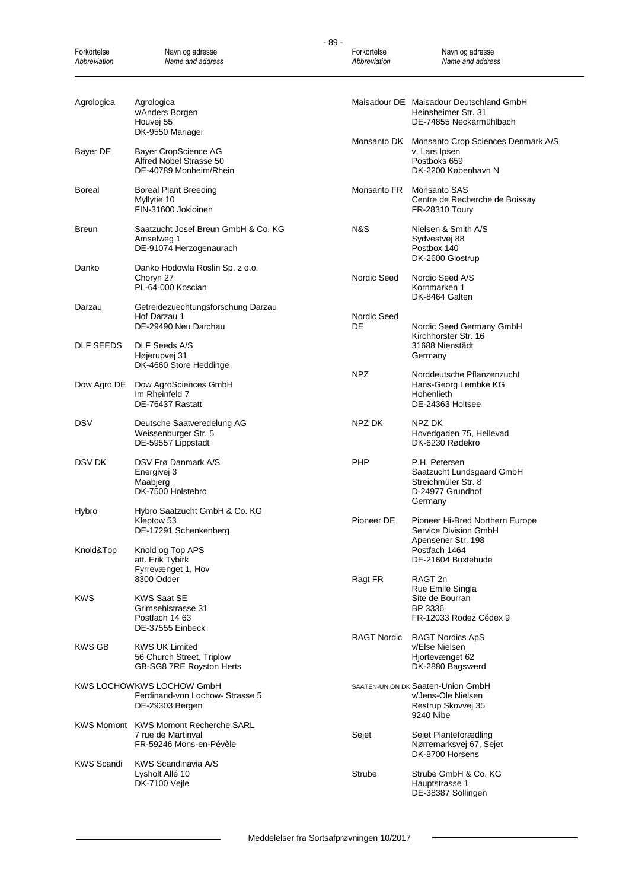| Forkortelse<br>Abbreviation | Navn og adresse<br>Name and address                                                          | Forkortelse<br>Abbreviation | Navn og adresse<br>Name and address                                                              |
|-----------------------------|----------------------------------------------------------------------------------------------|-----------------------------|--------------------------------------------------------------------------------------------------|
| Agrologica                  | Agrologica<br>v/Anders Borgen<br>Houvej 55<br>DK-9550 Mariager                               |                             | Maisadour DE Maisadour Deutschland GmbH<br>Heinsheimer Str. 31<br>DE-74855 Neckarmühlbach        |
| Bayer DE                    | Bayer CropScience AG<br>Alfred Nobel Strasse 50<br>DE-40789 Monheim/Rhein                    | Monsanto DK                 | Monsanto Crop Sciences Denmark A/S<br>v. Lars Ipsen<br>Postboks 659<br>DK-2200 København N       |
| Boreal                      | <b>Boreal Plant Breeding</b><br>Myllytie 10<br>FIN-31600 Jokioinen                           |                             | Monsanto FR Monsanto SAS<br>Centre de Recherche de Boissay<br><b>FR-28310 Toury</b>              |
| <b>Breun</b>                | Saatzucht Josef Breun GmbH & Co. KG<br>Amselweg 1<br>DE-91074 Herzogenaurach                 | N&S                         | Nielsen & Smith A/S<br>Sydvestvej 88<br>Postbox 140<br>DK-2600 Glostrup                          |
| Danko                       | Danko Hodowla Roslin Sp. z o.o.<br>Choryn 27<br>PL-64-000 Koscian                            | Nordic Seed                 | Nordic Seed A/S<br>Kornmarken 1<br>DK-8464 Galten                                                |
| Darzau                      | Getreidezuechtungsforschung Darzau<br>Hof Darzau 1<br>DE-29490 Neu Darchau                   | Nordic Seed<br>DE           | Nordic Seed Germany GmbH<br>Kirchhorster Str. 16                                                 |
| DLF SEEDS                   | DLF Seeds A/S<br>Højerupvej 31<br>DK-4660 Store Heddinge                                     | <b>NPZ</b>                  | 31688 Nienstädt<br>Germany<br>Norddeutsche Pflanzenzucht                                         |
| Dow Agro DE                 | Dow AgroSciences GmbH<br>Im Rheinfeld 7<br>DE-76437 Rastatt                                  |                             | Hans-Georg Lembke KG<br>Hohenlieth<br>DE-24363 Holtsee                                           |
| DSV                         | Deutsche Saatveredelung AG<br>Weissenburger Str. 5<br>DE-59557 Lippstadt                     | NPZ DK                      | NPZ DK<br>Hovedgaden 75, Hellevad<br>DK-6230 Rødekro                                             |
| DSV DK                      | DSV Frø Danmark A/S<br>Energivej 3<br>Maabjerg<br>DK-7500 Holstebro                          | <b>PHP</b>                  | P.H. Petersen<br>Saatzucht Lundsgaard GmbH<br>Streichmüler Str. 8<br>D-24977 Grundhof<br>Germany |
| Hybro                       | Hybro Saatzucht GmbH & Co. KG<br>Kleptow 53<br>DE-17291 Schenkenberg                         | Pioneer DE                  | Pioneer Hi-Bred Northern Europe<br>Service Division GmbH                                         |
| Knold&Top                   | Knold og Top APS<br>att. Erik Tybirk<br>Fyrrevænget 1, Hov                                   |                             | Apensener Str. 198<br>Postfach 1464<br>DE-21604 Buxtehude                                        |
| KWS                         | 8300 Odder<br><b>KWS Saat SE</b><br>Grimsehlstrasse 31<br>Postfach 14 63<br>DE-37555 Einbeck | Ragt FR                     | RAGT <sub>2n</sub><br>Rue Emile Singla<br>Site de Bourran<br>BP 3336<br>FR-12033 Rodez Cédex 9   |
| KWS GB                      | <b>KWS UK Limited</b><br>56 Church Street, Triplow<br>GB-SG8 7RE Royston Herts               | <b>RAGT Nordic</b>          | <b>RAGT Nordics ApS</b><br>v/Else Nielsen<br>Hjortevænget 62<br>DK-2880 Bagsværd                 |
|                             | KWS LOCHOWKWS LOCHOW GmbH<br>Ferdinand-von Lochow- Strasse 5<br>DE-29303 Bergen              |                             | SAATEN-UNION DK Saaten-Union GmbH<br>v/Jens-Ole Nielsen<br>Restrup Skovvej 35<br>9240 Nibe       |
|                             | KWS Momont KWS Momont Recherche SARL<br>7 rue de Martinval<br>FR-59246 Mons-en-Pévèle        | Sejet                       | Sejet Planteforædling<br>Nørremarksvej 67, Sejet<br>DK-8700 Horsens                              |
| KWS Scandi                  | KWS Scandinavia A/S<br>Lysholt Allé 10<br>DK-7100 Vejle                                      | Strube                      | Strube GmbH & Co. KG<br>Hauptstrasse 1<br>DE-38387 Söllingen                                     |

- 89 -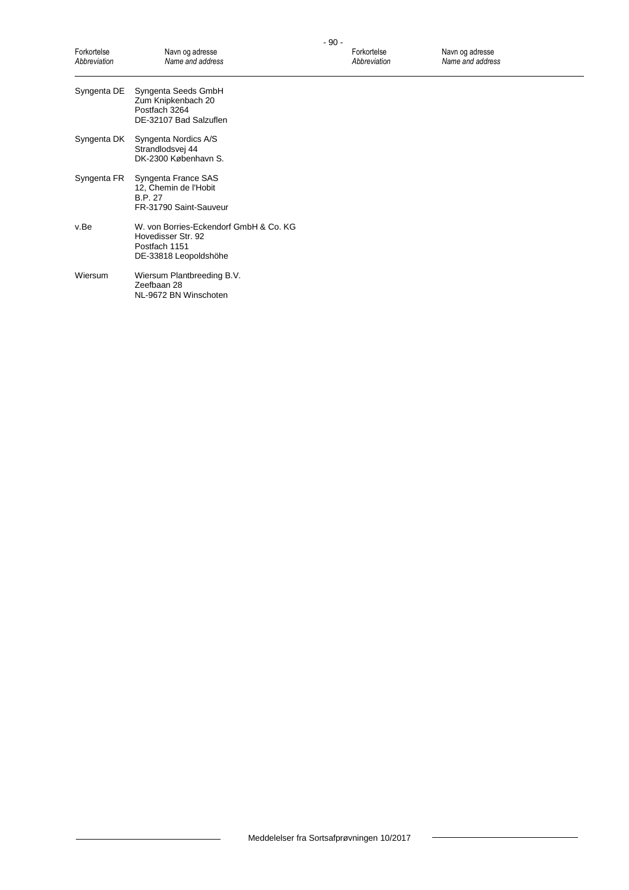| Forkortelse<br>Abbreviation | Navn og adresse<br>Name and address                                                                    | Forkortelse<br>Abbreviation | Navn og adresse<br>Name and address |
|-----------------------------|--------------------------------------------------------------------------------------------------------|-----------------------------|-------------------------------------|
| Syngenta DE                 | Syngenta Seeds GmbH<br>Zum Knipkenbach 20<br>Postfach 3264<br>DE-32107 Bad Salzuflen                   |                             |                                     |
| Syngenta DK                 | Syngenta Nordics A/S<br>Strandlodsvej 44<br>DK-2300 København S.                                       |                             |                                     |
| Syngenta FR                 | Syngenta France SAS<br>12, Chemin de l'Hobit<br><b>B.P. 27</b><br>FR-31790 Saint-Sauveur               |                             |                                     |
| v.Be                        | W. von Borries-Eckendorf GmbH & Co. KG<br>Hovedisser Str. 92<br>Postfach 1151<br>DE-33818 Leopoldshöhe |                             |                                     |
| Wiersum                     | Wiersum Plantbreeding B.V.<br>Zeefbaan 28<br>NL-9672 BN Winschoten                                     |                             |                                     |

 $\overline{\phantom{a}}$ 

 $\overline{\phantom{0}}$ 

 $\overline{\phantom{0}}$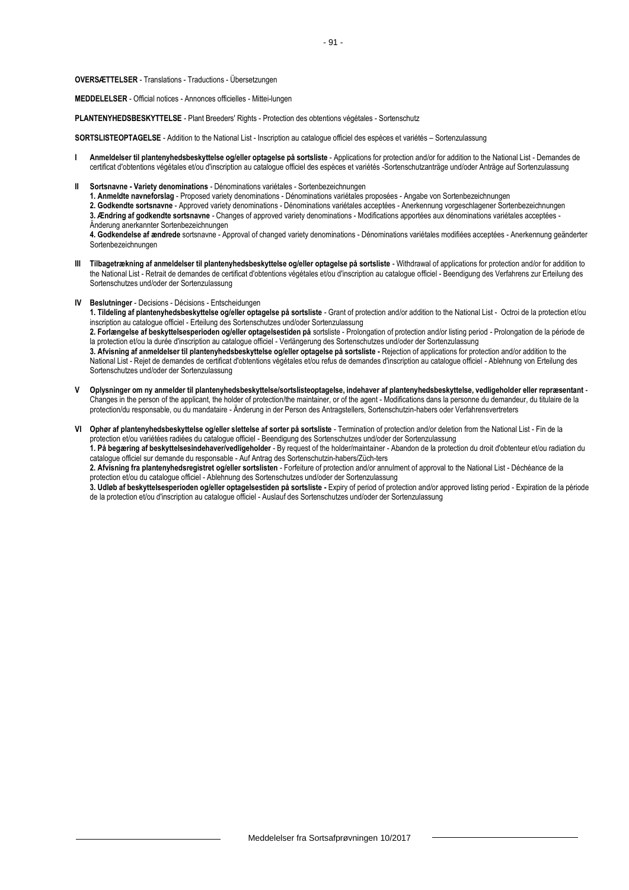**OVERSÆTTELSER** - Translations - Traductions - Übersetzungen

**MEDDELELSER** - Official notices - Annonces officielles - Mittei-lungen

**PLANTENYHEDSBESKYTTELSE** - Plant Breeders' Rights - Protection des obtentions végétales - Sortenschutz

**SORTSLISTEOPTAGELSE** - Addition to the National List - Inscription au catalogue officiel des espèces et variétés – Sortenzulassung

- **I Anmeldelser til plantenyhedsbeskyttelse og/eller optagelse på sortsliste** Applications for protection and/or for addition to the National List Demandes de certificat d'obtentions végétales et/ou d'inscription au catalogue officiel des espèces et variétés -Sortenschutzanträge und/oder Anträge auf Sortenzulassung
- **II Sortsnavne - Variety denominations** Dénominations variétales Sortenbezeichnungen
	- **1. Anmeldte navneforslag** Proposed variety denominations Dénominations variétales proposées Angabe von Sortenbezeichnungen
	- **2. Godkendte sortsnavne** Approved variety denominations Dénominations variétales acceptées Anerkennung vorgeschlagener Sortenbezeichnungen **3. Ændring af godkendte sortsnavne** - Changes of approved variety denominations - Modifications apportées aux dénominations variétales acceptées -
	- Änderung anerkannter Sortenbezeichnungen

**4. Godkendelse af ændrede** sortsnavne - Approval of changed variety denominations - Dénominations variétales modifiées acceptées - Anerkennung geänderter Sortenbezeichnungen

- **III Tilbagetrækning af anmeldelser til plantenyhedsbeskyttelse og/eller optagelse på sortsliste** Withdrawal of applications for protection and/or for addition to the National List - Retrait de demandes de certificat d'obtentions végétales et/ou d'inscription au catalogue officiel - Beendigung des Verfahrens zur Erteilung des Sortenschutzes und/oder der Sortenzulassung
- **IV Beslutninger** Decisions Décisions Entscheidungen

**1. Tildeling af plantenyhedsbeskyttelse og/eller optagelse på sortsliste** - Grant of protection and/or addition to the National List - Octroi de la protection et/ou inscription au catalogue officiel - Erteilung des Sortenschutzes und/oder Sortenzulassung

**2. Forlængelse af beskyttelsesperioden og/eller optagelsestiden på** sortsliste - Prolongation of protection and/or listing period - Prolongation de la période de la protection et/ou la durée d'inscription au catalogue officiel - Verlängerung des Sortenschutzes und/oder der Sortenzulassung

**3. Afvisning af anmeldelser til plantenyhedsbeskyttelse og/eller optagelse på sortsliste -** Rejection of applications for protection and/or addition to the National List - Rejet de demandes de certificat d'obtentions végétales et/ou refus de demandes d'inscription au catalogue officiel - Ablehnung von Erteilung des Sortenschutzes und/oder der Sortenzulassung

- **V Oplysninger om ny anmelder til plantenyhedsbeskyttelse/sortslisteoptagelse, indehaver af plantenyhedsbeskyttelse, vedligeholder eller repræsentant** Changes in the person of the applicant, the holder of protection/the maintainer, or of the agent - Modifications dans la personne du demandeur, du titulaire de la protection/du responsable, ou du mandataire - Änderung in der Person des Antragstellers, Sortenschutzin-habers oder Verfahrensvertreters
- **VI Ophør af plantenyhedsbeskyttelse og/eller slettelse af sorter på sortsliste** Termination of protection and/or deletion from the National List Fin de la protection et/ou variétées radiées du catalogue officiel - Beendigung des Sortenschutzes und/oder der Sortenzulassung

**1. På begæring af beskyttelsesindehaver/vedligeholder** - By request of the holder/maintainer - Abandon de la protection du droit d'obtenteur et/ou radiation du catalogue officiel sur demande du responsable - Auf Antrag des Sortenschutzin-habers/Züch-ters

**2. Afvisning fra plantenyhedsregistret og/eller sortslisten** - Forfeiture of protection and/or annulment of approval to the National List - Déchéance de la protection et/ou du catalogue officiel - Ablehnung des Sortenschutzes und/oder der Sortenzulassung

**3. Udløb af beskyttelsesperioden og/eller optagelsestiden på sortsliste -** Expiry of period of protection and/or approved listing period - Expiration de la période de la protection et/ou d'inscription au catalogue officiel - Auslauf des Sortenschutzes und/oder der Sortenzulassung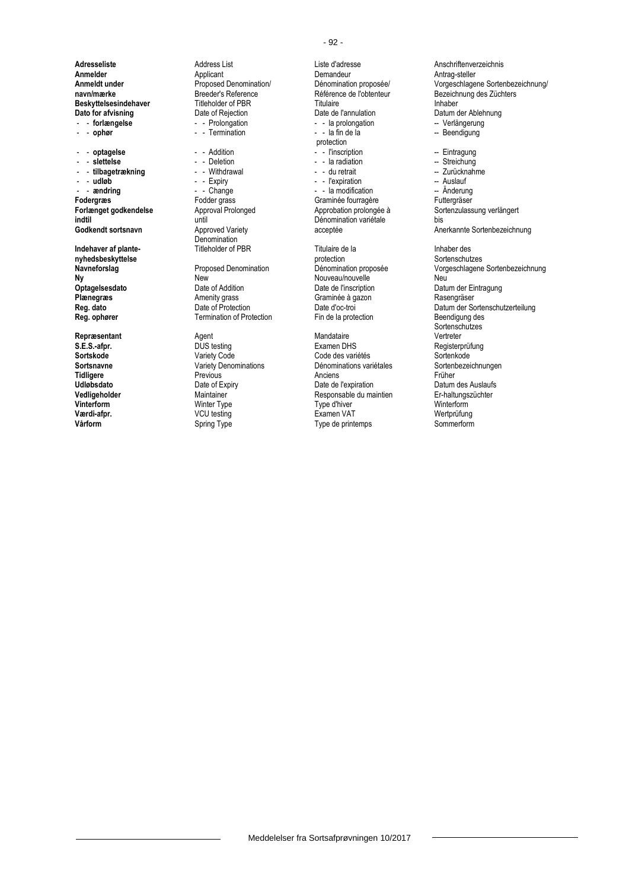- - **ophør** - - Termination - - la fin de la -- Beendigung

- andring - - Change - - la modification -- **andring**<br>
Fodergras -- Fodder grass -- Graminée fourragère **indtil variétie d'Alexandrie de la vivale de la vivale de la vivale de la vivale de la vivale de la vivale de l**<br> **Codkendt sortsnavn** Approved Variety acceptée de la vivale de la vivale de la vivale de la vivale de la vi

**Adresseliste** Address List Liste d'adresse **Anschriftenverzeichnis**<br> **Annelder** Anschriftenverzeichnis Applicant **Anschriftenverzeichnis**<br>
Demandeur Antrag-steller **Anmelder** Applicant Applicant Demandeur **Demandeur Antrag-steller**<br> **Anmeldt under Antrag-steller** Proposed Denomination/ Dénomination proposée/ Vorgeschlage **Beskyttelsesindehaver** Titleholder of PBR<br>
Dato for afvisning<br>
Date of Rejection<br>
Date de l'annulation **Dato for afvisning** Date of Rejection Date de l'annulation Datum der Ablehnung<br> **Dato for afvisning** Datum Date of Rejection Date de l'annulation Datum Datum der Ablehnung<br>
Dato for Datum Datum Date of Rejection Date de l

Denomination<br>Titleholder of PBR

**Ny New** New New Nouveau/nouvelle Neu Neu<br> **Optagelsesdato** Date of Addition Date of Neu Date de l'inscription Datu **Optagelsesdato** Date of Addition Date de l'inscription Datum der Eintragung<br> **Plænegræs** Plate de Date of Addition Date de l'inscription Datum der Eintragung<br>
Date de Date de Date de Rasengräser **Plænegræs Amenity grass** Graminée à gazon **Regional de Lands**<br> **Reg. dato Casengrange Case de Casena** Date d'oc-troi **Termination of Protection** 

- - la prolongation **-- - - - Verlängerung**<br>- - la fin de la **component -- Beendigung** protection<br>- - l'inscription - - **optagelse** - - Addition - - l'inscription -- Eintragung - - **slettelse** - - Deletion - - la radiation -- Streichung - - **tilbagetrækning** - - Withdrawal - - du retrait -- Zurücknahme - **udløb** - - Expiry - - Expiration - Nuslauf - Auslauf - Auslauf - Auslauf - Expiration - Auslauf - Auslauf - Auslauf - Anderung - Anderung - Anderung - Anderung - Anderung - Anderung - Anderung - Anderung - Anderung - An Fodder grass **Following Craminée fourragère** Futtergräser<br>
Approval Prolonged **Future Approbation** prolongée à Sortenzulass **Indehaver af plante-** Titleholder of PBR<br> **Inhaber design and Explore Constructer of PBR**<br> **Inhaber design and Index Constructer of PDR**<br> **Inhaber design and Index Constructer Sortenschutzes** 

**nyhedsbeskyttelse** protection Sortenschutzes

**Repræsentant** Mandataire **Agent** Agent Agent Mandataire **Mandataire** Vertreter **S.E.S.-afpr.** DUS testing Examen DHS Registerprüfung Sortskode **Sortskode Mariety Code Conception Code des** variétés Sortenkode Sortenkode Code des variétés Sortenbezeichnungen<br>Cortsnavne Sortenbezeichnungen Variety Denominations Dénominations variétales Sortenbezeichnungen **Sortsnavne Variety Denominations** Dénominations variétales Sorten<br> **Tidligere** Previous Previous Anciens *Commungene* Crüher **Tidligere** Previous Previous Anciens Anciens Anciens Früher **Udløbsdato Date of Expiry** Date of Expiry Date de l'expiration **Datum des Auslaufs**<br> **Vedligeholder Datum des Auslaufs Date de Late de Late de Late de Late de Late de Late de Late de Late de Late de**<br> **Parament Date d Vedligeholder** Maintainer Maintainer Responsable du maintien Er-haltungszüchter Maintainer Er-haltungszüchter<br>**1999** Winterform Winter Type Type Type d'hiver Mainterform Winterform **Vinterform** Winter Type Type d'hiver Winterform **Værdi-afpr.** VCU testing Examen VAT Wertprüfung **Vårform** Spring Type Type Sommerform Spring Type Sommerform Spring Type Sommerform

**Proposed Denomination/** Dénomination proposée/ Vorgeschlagene Sortenbezeichnung/<br> **Breeder's Reference** Contention **Proposet Contention** Bezeichnung des Züchters **navn/mærke Breeder's Reference** Référence **Référence de l'obtenteur** Bezeichnung des Züchters<br> **Beskyttelsesindehaver** Titleholder of PBR Titulaire **Beskyttelsesindehaver** Annual Execution **Forlænget godkendelse** Approval Prolonged Approbation prolongée à Sortenzulassung verlängert<br> **Approbation prolongée à** Sortenzulassung verlängert<br>
Dénomination variétale bis Anerkannte Sortenbezeichnung Proposed Denomination **Dénomination proposée** Vorgeschlagene Sortenbezeichnung **Reg. dato** Date of Protection Date d'oc-troi Date d'oc-troi Datum der Sortenschutzerteilung<br> **Reg. ophører** Communistion of Protection Discover Ein de la protection Beendigung des Sortenschutzes<br>Vertreter